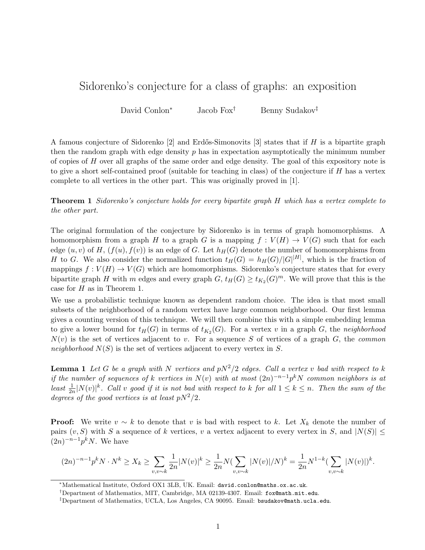## Sidorenko's conjecture for a class of graphs: an exposition

David Conlon<sup>∗</sup> Jacob Fox† Benny Sudakov‡

A famous conjecture of Sidorenko [2] and Erdős-Simonovits [3] states that if H is a bipartite graph then the random graph with edge density  $p$  has in expectation asymptotically the minimum number of copies of  $H$  over all graphs of the same order and edge density. The goal of this expository note is to give a short self-contained proof (suitable for teaching in class) of the conjecture if  $H$  has a vertex complete to all vertices in the other part. This was originally proved in [1].

Theorem 1 Sidorenko's conjecture holds for every bipartite graph H which has a vertex complete to the other part.

The original formulation of the conjecture by Sidorenko is in terms of graph homomorphisms. A homomorphism from a graph H to a graph G is a mapping  $f: V(H) \to V(G)$  such that for each edge  $(u, v)$  of H,  $(f(u), f(v))$  is an edge of G. Let  $h<sub>H</sub>(G)$  denote the number of homomorphisms from H to G. We also consider the normalized function  $t_H(G) = h_H(G)/|G|^{|H|}$ , which is the fraction of mappings  $f: V(H) \to V(G)$  which are homomorphisms. Sidorenko's conjecture states that for every bipartite graph H with m edges and every graph  $G$ ,  $t_H(G) \ge t_{K_2}(G)^m$ . We will prove that this is the case for H as in Theorem 1.

We use a probabilistic technique known as dependent random choice. The idea is that most small subsets of the neighborhood of a random vertex have large common neighborhood. Our first lemma gives a counting version of this technique. We will then combine this with a simple embedding lemma to give a lower bound for  $t_H(G)$  in terms of  $t_{K_2}(G)$ . For a vertex v in a graph G, the neighborhood  $N(v)$  is the set of vertices adjacent to v. For a sequence S of vertices of a graph G, the common neighborhood  $N(S)$  is the set of vertices adjacent to every vertex in S.

**Lemma 1** Let G be a graph with N vertices and  $pN^2/2$  edges. Call a vertex v bad with respect to k if the number of sequences of k vertices in  $N(v)$  with at most  $(2n)^{-n-1}p^kN$  common neighbors is at least  $\frac{1}{2n}|N(v)|^k$ . Call v good if it is not bad with respect to k for all  $1 \leq k \leq n$ . Then the sum of the degrees of the good vertices is at least  $pN^2/2$ .

**Proof:** We write  $v \sim k$  to denote that v is bad with respect to k. Let  $X_k$  denote the number of pairs  $(v, S)$  with S a sequence of k vertices, v a vertex adjacent to every vertex in S, and  $|N(S)| \le$  $(2n)^{-n-1}p^kN$ . We have

$$
(2n)^{-n-1}p^kN \cdot N^k \ge X_k \ge \sum_{v,v \sim k} \frac{1}{2n} |N(v)|^k \ge \frac{1}{2n} N \left(\sum_{v,v \sim k} |N(v)|/N\right)^k = \frac{1}{2n} N^{1-k} \left(\sum_{v,v \sim k} |N(v)|\right)^k.
$$

<sup>∗</sup>Mathematical Institute, Oxford OX1 3LB, UK. Email: david.conlon@maths.ox.ac.uk.

<sup>†</sup>Department of Mathematics, MIT, Cambridge, MA 02139-4307. Email: fox@math.mit.edu.

 $\textsuperscript{4}$ Department of Mathematics, UCLA, Los Angeles, CA 90095. Email: bsudakov@math.ucla.edu.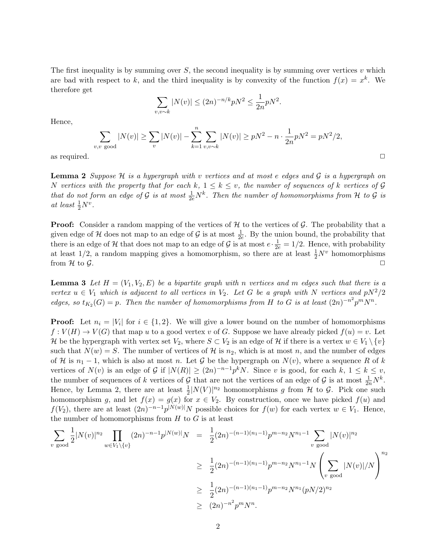The first inequality is by summing over  $S$ , the second inequality is by summing over vertices v which are bad with respect to k, and the third inequality is by convexity of the function  $f(x) = x^k$ . We therefore get

$$
\sum_{v,v \sim k} |N(v)| \le (2n)^{-n/k} pN^2 \le \frac{1}{2n} pN^2.
$$

Hence,

$$
\sum_{v,v \text{ good}} |N(v)| \ge \sum_{v} |N(v)| - \sum_{k=1}^{n} \sum_{v,v \sim k} |N(v)| \ge pN^2 - n \cdot \frac{1}{2n} pN^2 = pN^2/2,
$$
  
as required.

**Lemma 2** Suppose  $H$  is a hypergraph with v vertices and at most e edges and  $G$  is a hypergraph on N vertices with the property that for each k,  $1 \leq k \leq v$ , the number of sequences of k vertices of G that do not form an edge of G is at most  $\frac{1}{2e}N^k$ . Then the number of homomorphisms from H to G is at least  $\frac{1}{2}N^v$ .

**Proof:** Consider a random mapping of the vertices of  $H$  to the vertices of  $G$ . The probability that a given edge of  $H$  does not map to an edge of  $G$  is at most  $\frac{1}{2e}$ . By the union bound, the probability that there is an edge of  $H$  that does not map to an edge of  $G$  is at most  $e \cdot \frac{1}{2e} = 1/2$ . Hence, with probability at least  $1/2$ , a random mapping gives a homomorphism, so there are at least  $\frac{1}{2}N^v$  homomorphisms from H to G.

**Lemma 3** Let  $H = (V_1, V_2, E)$  be a bipartite graph with n vertices and m edges such that there is a vertex  $u \in V_1$  which is adjacent to all vertices in  $V_2$ . Let G be a graph with N vertices and  $pN^2/2$ edges, so  $t_{K_2}(G) = p$ . Then the number of homomorphisms from H to G is at least  $(2n)^{-n^2} p^m N^n$ .

**Proof:** Let  $n_i = |V_i|$  for  $i \in \{1, 2\}$ . We will give a lower bound on the number of homomorphisms  $f: V(H) \to V(G)$  that map u to a good vertex v of G. Suppose we have already picked  $f(u) = v$ . Let H be the hypergraph with vertex set  $V_2$ , where  $S \subset V_2$  is an edge of H if there is a vertex  $w \in V_1 \setminus \{v\}$ such that  $N(w) = S$ . The number of vertices of H is  $n_2$ , which is at most n, and the number of edges of H is  $n_1 - 1$ , which is also at most n. Let G be the hypergraph on  $N(v)$ , where a sequence R of k vertices of  $N(v)$  is an edge of G if  $|N(R)| \ge (2n)^{-n-1}p^kN$ . Since v is good, for each  $k, 1 \le k \le v$ , the number of sequences of k vertices of G that are not the vertices of an edge of G is at most  $\frac{1}{2n}N^k$ . Hence, by Lemma 2, there are at least  $\frac{1}{2} |N(V)|^{n_2}$  homomorphisms g from H to G. Pick one such homomorphism g, and let  $f(x) = g(x)$  for  $x \in V_2$ . By construction, once we have picked  $f(u)$  and  $f(V_2)$ , there are at least  $(2n)^{-n-1}p^{|N(w)|}N$  possible choices for  $f(w)$  for each vertex  $w \in V_1$ . Hence, the number of homomorphisms from  $H$  to  $G$  is at least

$$
\sum_{v \text{ good}} \frac{1}{2} |N(v)|^{n_2} \prod_{w \in V_1 \setminus \{v\}} (2n)^{-n-1} p^{|N(w)|} N = \frac{1}{2} (2n)^{-(n-1)(n_1-1)} p^{m-n_2} N^{n_1-1} \sum_{v \text{ good}} |N(v)|^{n_2}
$$
  
\n
$$
\geq \frac{1}{2} (2n)^{-(n-1)(n_1-1)} p^{m-n_2} N^{n_1-1} N \left( \sum_{v \text{ good}} |N(v)|/N \right)^{n_2}
$$
  
\n
$$
\geq \frac{1}{2} (2n)^{-(n-1)(n_1-1)} p^{m-n_2} N^{n_1} (pN/2)^{n_2}
$$
  
\n
$$
\geq (2n)^{-n^2} p^m N^n.
$$